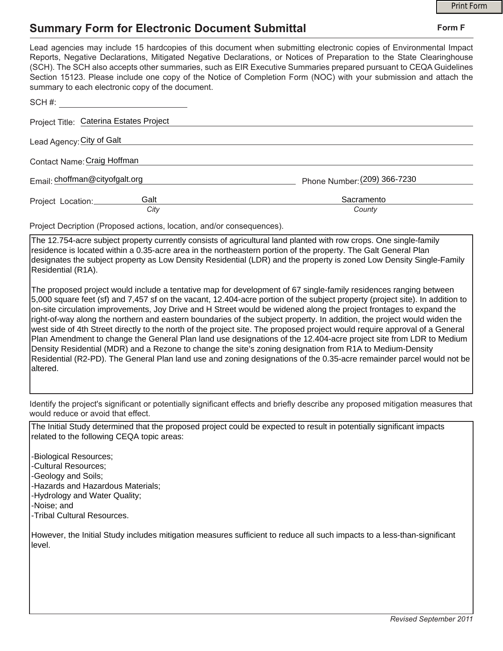## **Summary Form for Electronic Document Submittal**

|                                                                                                                                                                                                                                                                                                                                                                                                                                                                                                                                           | <b>Print Form</b>            |
|-------------------------------------------------------------------------------------------------------------------------------------------------------------------------------------------------------------------------------------------------------------------------------------------------------------------------------------------------------------------------------------------------------------------------------------------------------------------------------------------------------------------------------------------|------------------------------|
| <b>Summary Form for Electronic Document Submittal</b>                                                                                                                                                                                                                                                                                                                                                                                                                                                                                     | Form F                       |
| Lead agencies may include 15 hardcopies of this document when submitting electronic copies of Environmental Impact<br>Reports, Negative Declarations, Mitigated Negative Declarations, or Notices of Preparation to the State Clearinghouse<br>(SCH). The SCH also accepts other summaries, such as EIR Executive Summaries prepared pursuant to CEQA Guidelines<br>Section 15123. Please include one copy of the Notice of Completion Form (NOC) with your submission and attach the<br>summary to each electronic copy of the document. |                              |
|                                                                                                                                                                                                                                                                                                                                                                                                                                                                                                                                           |                              |
| Project Title: Caterina Estates Project                                                                                                                                                                                                                                                                                                                                                                                                                                                                                                   |                              |
| Lead Agency: City of Galt                                                                                                                                                                                                                                                                                                                                                                                                                                                                                                                 |                              |
| Contact Name: Craig Hoffman                                                                                                                                                                                                                                                                                                                                                                                                                                                                                                               |                              |
| Email: choffman@cityofgalt.org                                                                                                                                                                                                                                                                                                                                                                                                                                                                                                            | Phone Number: (209) 366-7230 |
| Galt<br>Project Location:                                                                                                                                                                                                                                                                                                                                                                                                                                                                                                                 | Sacramento                   |
| City                                                                                                                                                                                                                                                                                                                                                                                                                                                                                                                                      | County                       |
| Project Decription (Proposed actions, location, and/or consequences).                                                                                                                                                                                                                                                                                                                                                                                                                                                                     |                              |

The 12.754-acre subject property currently consists of agricultural land planted with row crops. One single-family residence is located within a 0.35-acre area in the northeastern portion of the property. The Galt General Plan designates the subject property as Low Density Residential (LDR) and the property is zoned Low Density Single-Family Residential (R1A).

The proposed project would include a tentative map for development of 67 single-family residences ranging between 5,000 square feet (sf) and 7,457 sf on the vacant, 12.404-acre portion of the subject property (project site). In addition to on-site circulation improvements, Joy Drive and H Street would be widened along the project frontages to expand the right-of-way along the northern and eastern boundaries of the subject property. In addition, the project would widen the west side of 4th Street directly to the north of the project site. The proposed project would require approval of a General Plan Amendment to change the General Plan land use designations of the 12.404-acre project site from LDR to Medium Density Residential (MDR) and a Rezone to change the site's zoning designation from R1A to Medium-Density Residential (R2-PD). The General Plan land use and zoning designations of the 0.35-acre remainder parcel would not be altered.

Identify the project's significant or potentially significant effects and briefly describe any proposed mitigation measures that would reduce or avoid that effect.

The Initial Study determined that the proposed project could be expected to result in potentially significant impacts related to the following CEQA topic areas:

-Biological Resources; -Cultural Resources; -Geology and Soils; -Hazards and Hazardous Materials; -Hydrology and Water Quality; -Noise; and -Tribal Cultural Resources.

However, the Initial Study includes mitigation measures sufficient to reduce all such impacts to a less-than-significant level.